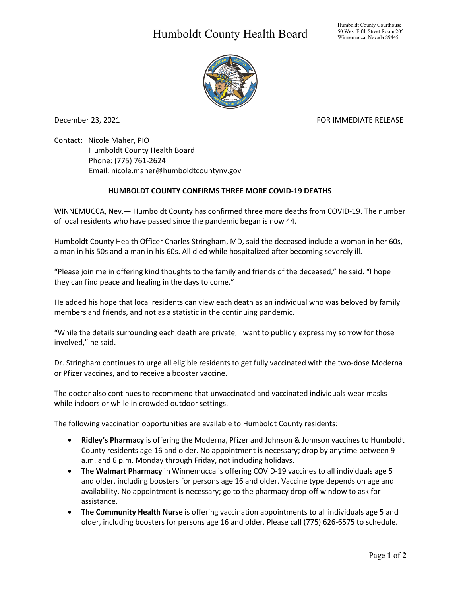## Humboldt County Health Board



December 23, 2021 **FOR IMMEDIATE RELEASE** 

Contact: Nicole Maher, PIO Humboldt County Health Board Phone: (775) 761-2624 Email: nicole.maher@humboldtcountynv.gov

## **HUMBOLDT COUNTY CONFIRMS THREE MORE COVID-19 DEATHS**

WINNEMUCCA, Nev.— Humboldt County has confirmed three more deaths from COVID-19. The number of local residents who have passed since the pandemic began is now 44.

Humboldt County Health Officer Charles Stringham, MD, said the deceased include a woman in her 60s, a man in his 50s and a man in his 60s. All died while hospitalized after becoming severely ill.

"Please join me in offering kind thoughts to the family and friends of the deceased," he said. "I hope they can find peace and healing in the days to come."

He added his hope that local residents can view each death as an individual who was beloved by family members and friends, and not as a statistic in the continuing pandemic.

"While the details surrounding each death are private, I want to publicly express my sorrow for those involved," he said.

Dr. Stringham continues to urge all eligible residents to get fully vaccinated with the two-dose Moderna or Pfizer vaccines, and to receive a booster vaccine.

The doctor also continues to recommend that unvaccinated and vaccinated individuals wear masks while indoors or while in crowded outdoor settings.

The following vaccination opportunities are available to Humboldt County residents:

- **Ridley's Pharmacy** is offering the Moderna, Pfizer and Johnson & Johnson vaccines to Humboldt County residents age 16 and older. No appointment is necessary; drop by anytime between 9 a.m. and 6 p.m. Monday through Friday, not including holidays.
- **The Walmart Pharmacy** in Winnemucca is offering COVID-19 vaccines to all individuals age 5 and older, including boosters for persons age 16 and older. Vaccine type depends on age and availability. No appointment is necessary; go to the pharmacy drop-off window to ask for assistance.
- **The Community Health Nurse** is offering vaccination appointments to all individuals age 5 and older, including boosters for persons age 16 and older. Please call (775) 626-6575 to schedule.